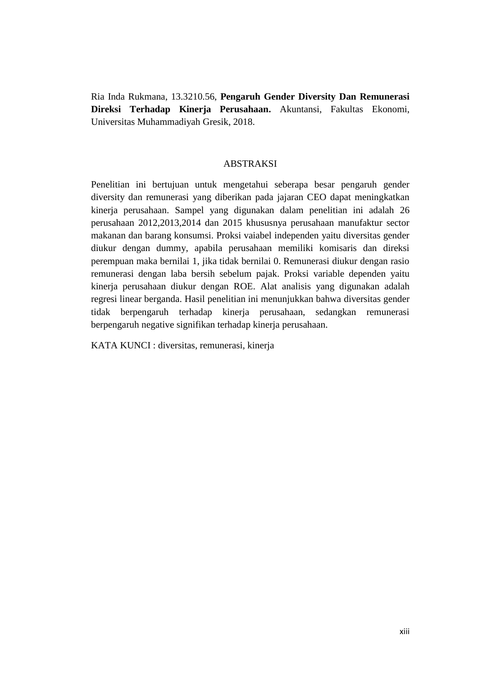Ria Inda Rukmana, 13.3210.56, **Pengaruh Gender Diversity Dan Remunerasi Direksi Terhadap Kinerja Perusahaan.** Akuntansi, Fakultas Ekonomi, Universitas Muhammadiyah Gresik, 2018.

## ABSTRAKSI

Penelitian ini bertujuan untuk mengetahui seberapa besar pengaruh gender diversity dan remunerasi yang diberikan pada jajaran CEO dapat meningkatkan kinerja perusahaan. Sampel yang digunakan dalam penelitian ini adalah 26 perusahaan 2012,2013,2014 dan 2015 khususnya perusahaan manufaktur sector makanan dan barang konsumsi. Proksi vaiabel independen yaitu diversitas gender diukur dengan dummy, apabila perusahaan memiliki komisaris dan direksi perempuan maka bernilai 1, jika tidak bernilai 0. Remunerasi diukur dengan rasio remunerasi dengan laba bersih sebelum pajak. Proksi variable dependen yaitu kinerja perusahaan diukur dengan ROE. Alat analisis yang digunakan adalah regresi linear berganda. Hasil penelitian ini menunjukkan bahwa diversitas gender tidak berpengaruh terhadap kinerja perusahaan, sedangkan remunerasi berpengaruh negative signifikan terhadap kinerja perusahaan.

KATA KUNCI : diversitas, remunerasi, kinerja